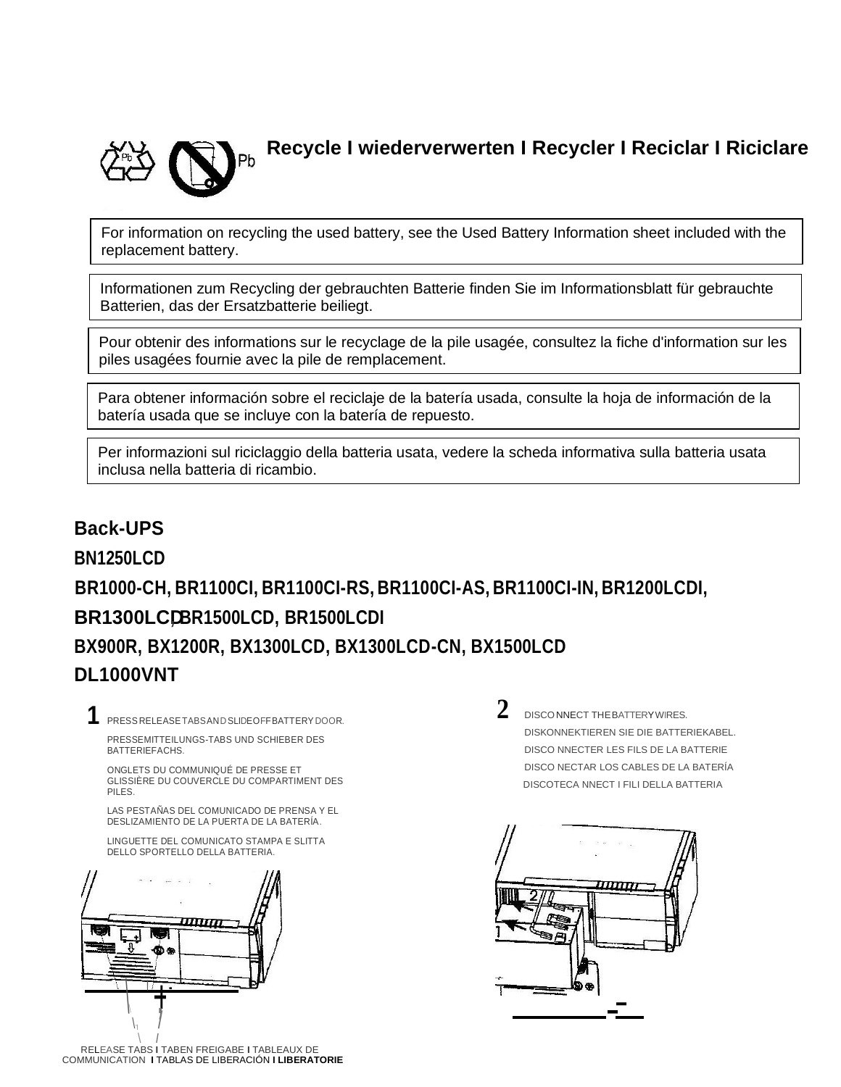

**Recycle I wiederverwerten I Recycler I Reciclar I Riciclare**

For information on recycling the used battery, see the Used Battery Information sheet included with the replacement battery.

Informationen zum Recycling der gebrauchten Batterie finden Sie im Informationsblatt für gebrauchte Batterien, das der Ersatzbatterie beiliegt.

Pour obtenir des informations sur le recyclage de la pile usagée, consultez la fiche d'information sur les piles usagées fournie avec la pile de remplacement.

Para obtener información sobre el reciclaje de la batería usada, consulte la hoja de información de la batería usada que se incluye con la batería de repuesto.

Per informazioni sul riciclaggio della batteria usata, vedere la scheda informativa sulla batteria usata inclusa nella batteria di ricambio.

# **Back-UPS BN1250LCD BR1000-CH, BR1100CI, BR1100CI-RS, BR1100CI-AS, BR1100CI-IN, BR1200LCDI, BR1300LCD, BR1500LCD, BR1500LCDI BX900R, BX1200R, BX1300LCD, BX1300LCD-CN, BX1500LCD DL1000VNT**

**1** PRESS RELEASETABSANDSLIDEOFFBATTERY DOOR. PRESSEMITTEILUNGS-TABS UND SCHIEBER DES

BATTERIEFACHS.

ONGLETS DU COMMUNIQUÉ DE PRESSE ET GLISSIÈRE DU COUVERCLE DU COMPARTIMENT DES PILES.

LAS PESTAÑAS DEL COMUNICADO DE PRENSA Y EL DESLIZAMIENTO DE LA PUERTA DE LA BATERÍA.

LINGUETTE DEL COMUNICATO STAMPA E SLITTA DELLO SPORTELLO DELLA BATTERIA.



**2** DISCONNECT THEBATTERYWIRES. DISKONNEKTIEREN SIE DIE BATTERIEKABEL. DISCO NNECTER LES FILS DE LA BATTERIE DISCO NECTAR LOS CABLES DE LA BATERÍA DISCOTECA NNECT I FILI DELLA BATTERIA

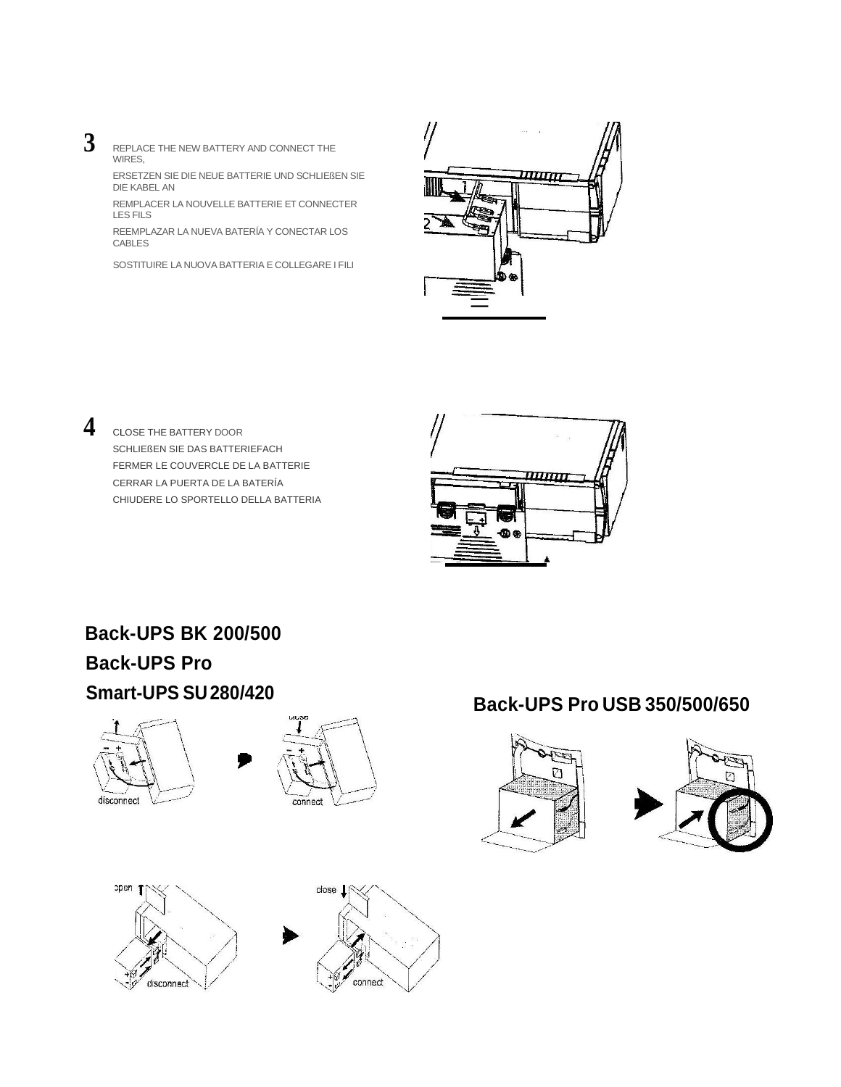- 
- **3** REPLACE THE NEW BATTERY AND CONNECT THE WIRES,

ERSETZEN SIE DIE NEUE BATTERIE UND SCHLIEßEN SIE DIE KABEL AN

REMPLACER LA NOUVELLE BATTERIE ET CONNECTER LES FILS

REEMPLAZAR LA NUEVA BATERÍA Y CONECTAR LOS CABLES

SOSTITUIRE LA NUOVA BATTERIA E COLLEGARE I FILI



**4** CLOSE THE BATTERY DOOR SCHLIEßEN SIE DAS BATTERIEFACH FERMER LE COUVERCLE DE LA BATTERIE CERRAR LA PUERTA DE LA BATERÍA CHIUDERE LO SPORTELLO DELLA BATTERIA



# **Back-UPS BK 200/500 Back-UPS Pro**









# **Smart-UPS SU280/420 Back-UPS Pro USB 350/500/650**



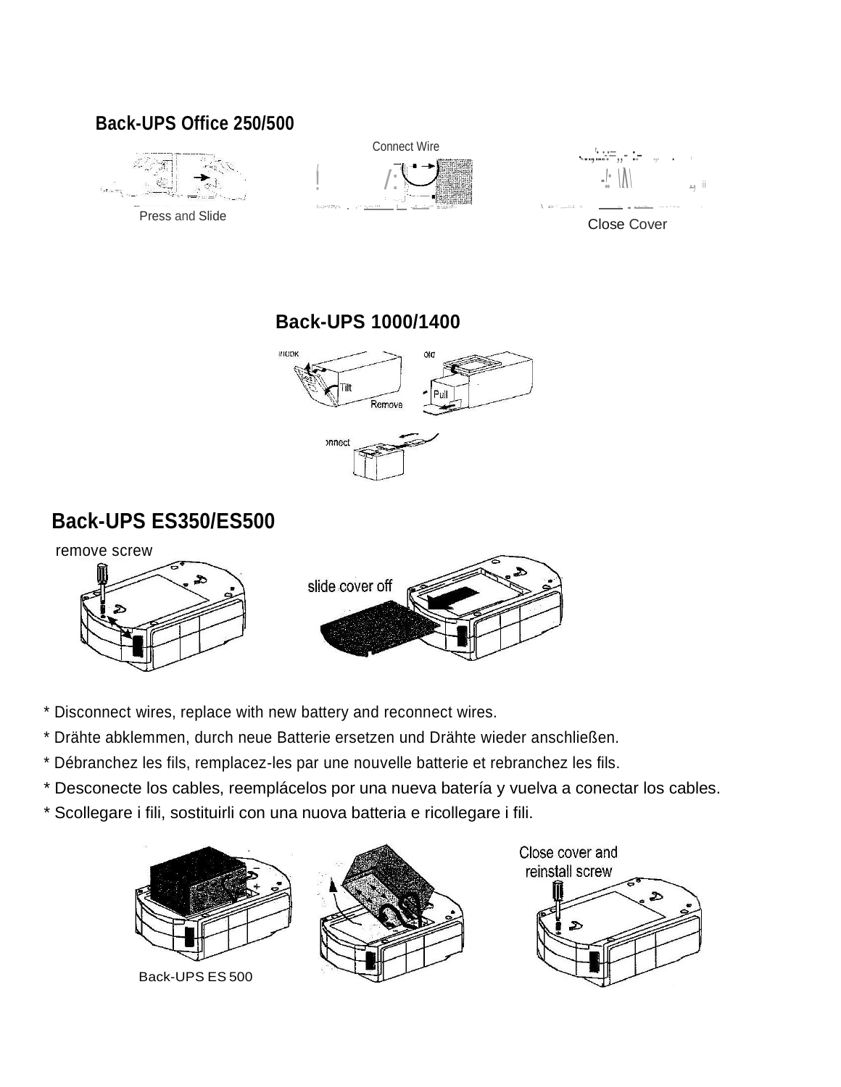#### Back-UPS Office 250/500



**Back-UPS 1000/1400** 



## **Back-UPS ES350/ES500**



- \* Disconnect wires, replace with new battery and reconnect wires.
- \* Drähte abklemmen, durch neue Batterie ersetzen und Drähte wieder anschließen.
- \* Débranchez les fils, remplacez-les par une nouvelle batterie et rebranchez les fils.
- \* Desconecte los cables, reemplácelos por una nueva batería y vuelva a conectar los cables.
- \* Scollegare i fili, sostituirli con una nuova batteria e ricollegare i fili.





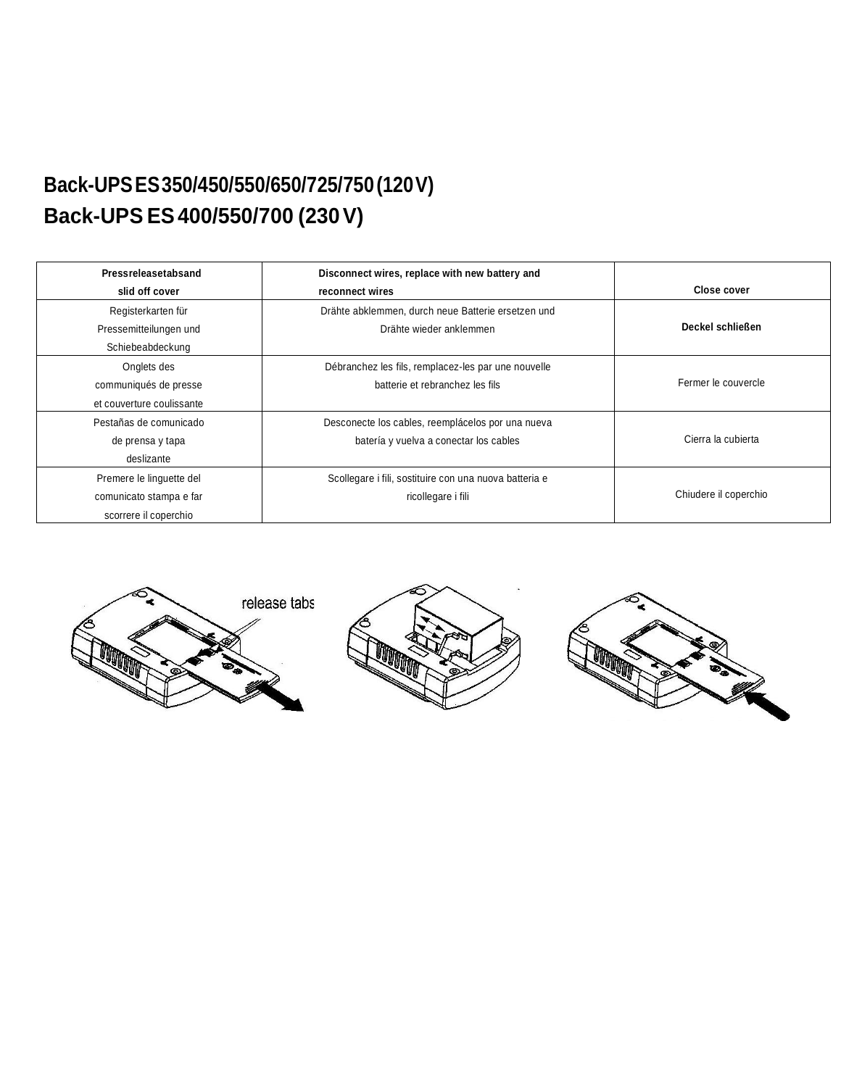# **Back-UPSES350/450/550/650/725/750(120V) Back-UPS ES400/550/700 (230V)**

| Pressreleasetabsand       | Disconnect wires, replace with new battery and         |                       |
|---------------------------|--------------------------------------------------------|-----------------------|
| slid off cover            | reconnect wires                                        | Close cover           |
| Registerkarten für        | Drähte abklemmen, durch neue Batterie ersetzen und     |                       |
| Pressemitteilungen und    | Drähte wieder anklemmen                                | Deckel schließen      |
| Schiebeabdeckung          |                                                        |                       |
| Onglets des               | Débranchez les fils, remplacez-les par une nouvelle    |                       |
| communiqués de presse     | batterie et rebranchez les fils                        | Fermer le couvercle   |
| et couverture coulissante |                                                        |                       |
| Pestañas de comunicado    | Desconecte los cables, reemplácelos por una nueva      |                       |
| de prensa y tapa          | batería y vuelva a conectar los cables                 | Cierra la cubierta    |
| deslizante                |                                                        |                       |
| Premere le linguette del  | Scollegare i fili, sostituire con una nuova batteria e |                       |
| comunicato stampa e far   | ricollegare i fili                                     | Chiudere il coperchio |
| scorrere il coperchio     |                                                        |                       |





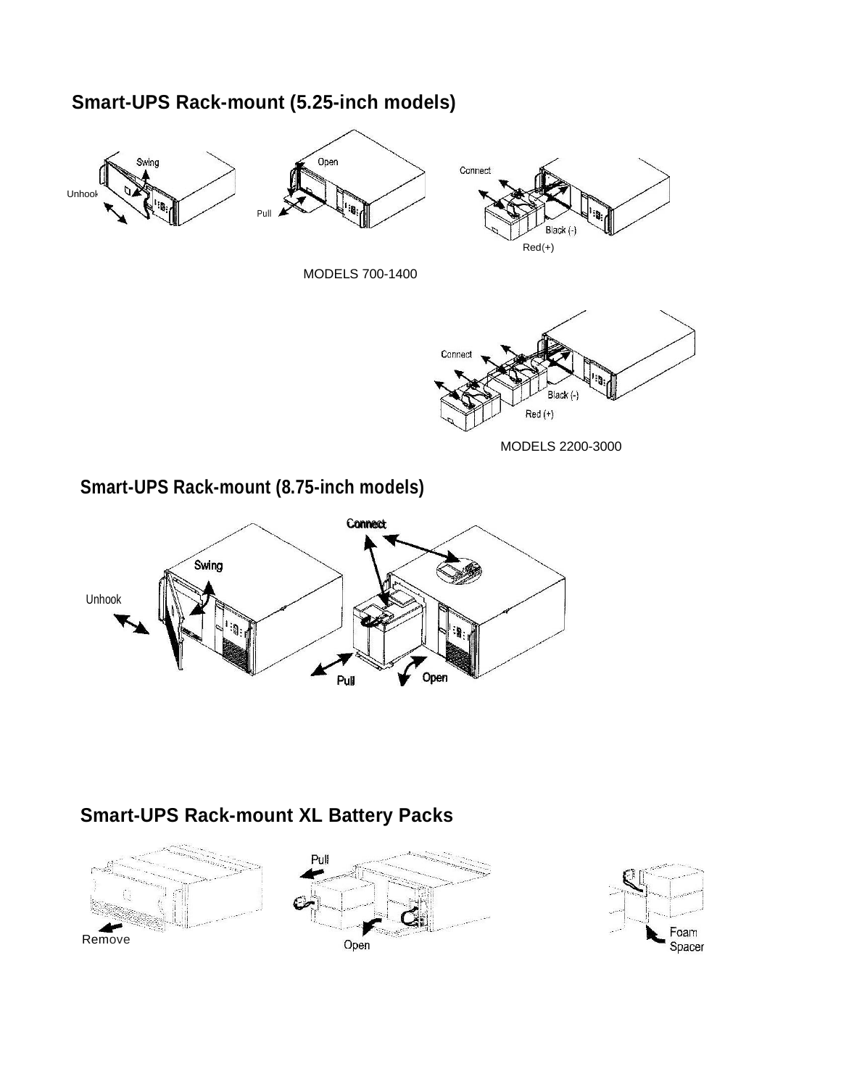#### **Smart-UPS Rack-mount (5.25-inch models)**



#### **Smart-UPS Rack-mount XL Battery Packs**